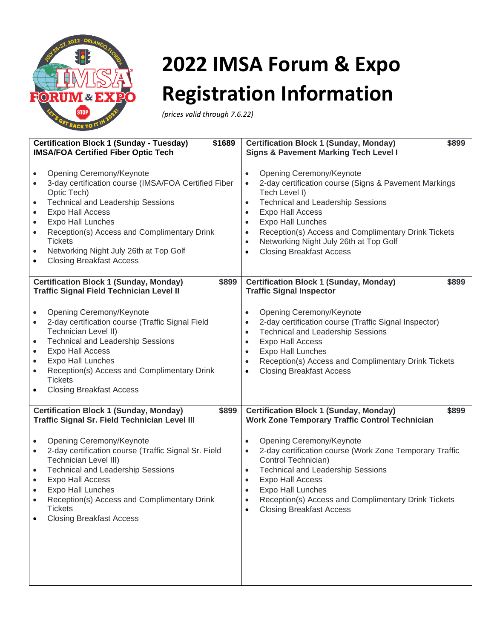

## **2022 IMSA Forum & Expo Registration Information**

*(prices valid through 7.6.22)*

| <b>Certification Block 1 (Sunday - Tuesday)</b>                                                                                                                                                                                                                                                                                                                                          | <b>Certification Block 1 (Sunday, Monday)</b>                                                                                                                                                                                                                                                                                                         |
|------------------------------------------------------------------------------------------------------------------------------------------------------------------------------------------------------------------------------------------------------------------------------------------------------------------------------------------------------------------------------------------|-------------------------------------------------------------------------------------------------------------------------------------------------------------------------------------------------------------------------------------------------------------------------------------------------------------------------------------------------------|
| \$1689                                                                                                                                                                                                                                                                                                                                                                                   | \$899                                                                                                                                                                                                                                                                                                                                                 |
| <b>IMSA/FOA Certified Fiber Optic Tech</b>                                                                                                                                                                                                                                                                                                                                               | <b>Signs &amp; Pavement Marking Tech Level I</b>                                                                                                                                                                                                                                                                                                      |
| Opening Ceremony/Keynote                                                                                                                                                                                                                                                                                                                                                                 | Opening Ceremony/Keynote                                                                                                                                                                                                                                                                                                                              |
| $\bullet$                                                                                                                                                                                                                                                                                                                                                                                | $\bullet$                                                                                                                                                                                                                                                                                                                                             |
| 3-day certification course (IMSA/FOA Certified Fiber                                                                                                                                                                                                                                                                                                                                     | 2-day certification course (Signs & Pavement Markings                                                                                                                                                                                                                                                                                                 |
| $\bullet$                                                                                                                                                                                                                                                                                                                                                                                | $\bullet$                                                                                                                                                                                                                                                                                                                                             |
| Optic Tech)                                                                                                                                                                                                                                                                                                                                                                              | Tech Level I)                                                                                                                                                                                                                                                                                                                                         |
| <b>Technical and Leadership Sessions</b>                                                                                                                                                                                                                                                                                                                                                 | <b>Technical and Leadership Sessions</b>                                                                                                                                                                                                                                                                                                              |
| $\bullet$                                                                                                                                                                                                                                                                                                                                                                                | $\bullet$                                                                                                                                                                                                                                                                                                                                             |
| Expo Hall Access                                                                                                                                                                                                                                                                                                                                                                         | <b>Expo Hall Access</b>                                                                                                                                                                                                                                                                                                                               |
| $\bullet$                                                                                                                                                                                                                                                                                                                                                                                | $\bullet$                                                                                                                                                                                                                                                                                                                                             |
| Expo Hall Lunches                                                                                                                                                                                                                                                                                                                                                                        | Expo Hall Lunches                                                                                                                                                                                                                                                                                                                                     |
| $\bullet$                                                                                                                                                                                                                                                                                                                                                                                | $\bullet$                                                                                                                                                                                                                                                                                                                                             |
| Reception(s) Access and Complimentary Drink                                                                                                                                                                                                                                                                                                                                              | Reception(s) Access and Complimentary Drink Tickets                                                                                                                                                                                                                                                                                                   |
| $\bullet$                                                                                                                                                                                                                                                                                                                                                                                | $\bullet$                                                                                                                                                                                                                                                                                                                                             |
| <b>Tickets</b>                                                                                                                                                                                                                                                                                                                                                                           | Networking Night July 26th at Top Golf                                                                                                                                                                                                                                                                                                                |
| Networking Night July 26th at Top Golf                                                                                                                                                                                                                                                                                                                                                   | $\bullet$                                                                                                                                                                                                                                                                                                                                             |
| $\bullet$                                                                                                                                                                                                                                                                                                                                                                                | <b>Closing Breakfast Access</b>                                                                                                                                                                                                                                                                                                                       |
| <b>Closing Breakfast Access</b>                                                                                                                                                                                                                                                                                                                                                          | $\bullet$                                                                                                                                                                                                                                                                                                                                             |
| <b>Certification Block 1 (Sunday, Monday)</b>                                                                                                                                                                                                                                                                                                                                            | <b>Certification Block 1 (Sunday, Monday)</b>                                                                                                                                                                                                                                                                                                         |
| \$899                                                                                                                                                                                                                                                                                                                                                                                    | \$899                                                                                                                                                                                                                                                                                                                                                 |
| <b>Traffic Signal Field Technician Level II</b>                                                                                                                                                                                                                                                                                                                                          | <b>Traffic Signal Inspector</b>                                                                                                                                                                                                                                                                                                                       |
| Opening Ceremony/Keynote<br>$\bullet$<br>2-day certification course (Traffic Signal Field<br>$\bullet$<br>Technician Level II)<br><b>Technical and Leadership Sessions</b><br>$\bullet$<br>Expo Hall Access<br>$\bullet$<br>Expo Hall Lunches<br>$\bullet$<br>Reception(s) Access and Complimentary Drink<br>$\bullet$<br><b>Tickets</b><br><b>Closing Breakfast Access</b><br>$\bullet$ | Opening Ceremony/Keynote<br>$\bullet$<br>2-day certification course (Traffic Signal Inspector)<br>$\bullet$<br><b>Technical and Leadership Sessions</b><br>$\bullet$<br>Expo Hall Access<br>$\bullet$<br><b>Expo Hall Lunches</b><br>$\bullet$<br>Reception(s) Access and Complimentary Drink Tickets<br>$\bullet$<br><b>Closing Breakfast Access</b> |
| <b>Certification Block 1 (Sunday, Monday)</b>                                                                                                                                                                                                                                                                                                                                            | <b>Certification Block 1 (Sunday, Monday)</b>                                                                                                                                                                                                                                                                                                         |
| \$899                                                                                                                                                                                                                                                                                                                                                                                    | \$899                                                                                                                                                                                                                                                                                                                                                 |
| <b>Traffic Signal Sr. Field Technician Level III</b>                                                                                                                                                                                                                                                                                                                                     | <b>Work Zone Temporary Traffic Control Technician</b>                                                                                                                                                                                                                                                                                                 |
| Opening Ceremony/Keynote                                                                                                                                                                                                                                                                                                                                                                 | Opening Ceremony/Keynote                                                                                                                                                                                                                                                                                                                              |
| $\bullet$                                                                                                                                                                                                                                                                                                                                                                                | $\bullet$                                                                                                                                                                                                                                                                                                                                             |
| 2-day certification course (Traffic Signal Sr. Field                                                                                                                                                                                                                                                                                                                                     | 2-day certification course (Work Zone Temporary Traffic                                                                                                                                                                                                                                                                                               |
| $\bullet$                                                                                                                                                                                                                                                                                                                                                                                | $\bullet$                                                                                                                                                                                                                                                                                                                                             |
| Technician Level III)                                                                                                                                                                                                                                                                                                                                                                    | Control Technician)                                                                                                                                                                                                                                                                                                                                   |
| <b>Technical and Leadership Sessions</b>                                                                                                                                                                                                                                                                                                                                                 | <b>Technical and Leadership Sessions</b>                                                                                                                                                                                                                                                                                                              |
| $\bullet$                                                                                                                                                                                                                                                                                                                                                                                | $\bullet$                                                                                                                                                                                                                                                                                                                                             |
| Expo Hall Access                                                                                                                                                                                                                                                                                                                                                                         | <b>Expo Hall Access</b>                                                                                                                                                                                                                                                                                                                               |
| $\bullet$                                                                                                                                                                                                                                                                                                                                                                                | $\bullet$                                                                                                                                                                                                                                                                                                                                             |
| <b>Expo Hall Lunches</b>                                                                                                                                                                                                                                                                                                                                                                 | <b>Expo Hall Lunches</b>                                                                                                                                                                                                                                                                                                                              |
| $\bullet$                                                                                                                                                                                                                                                                                                                                                                                | $\bullet$                                                                                                                                                                                                                                                                                                                                             |
| Reception(s) Access and Complimentary Drink                                                                                                                                                                                                                                                                                                                                              | Reception(s) Access and Complimentary Drink Tickets                                                                                                                                                                                                                                                                                                   |
| <b>Tickets</b>                                                                                                                                                                                                                                                                                                                                                                           | <b>Closing Breakfast Access</b>                                                                                                                                                                                                                                                                                                                       |
| <b>Closing Breakfast Access</b>                                                                                                                                                                                                                                                                                                                                                          | $\bullet$                                                                                                                                                                                                                                                                                                                                             |